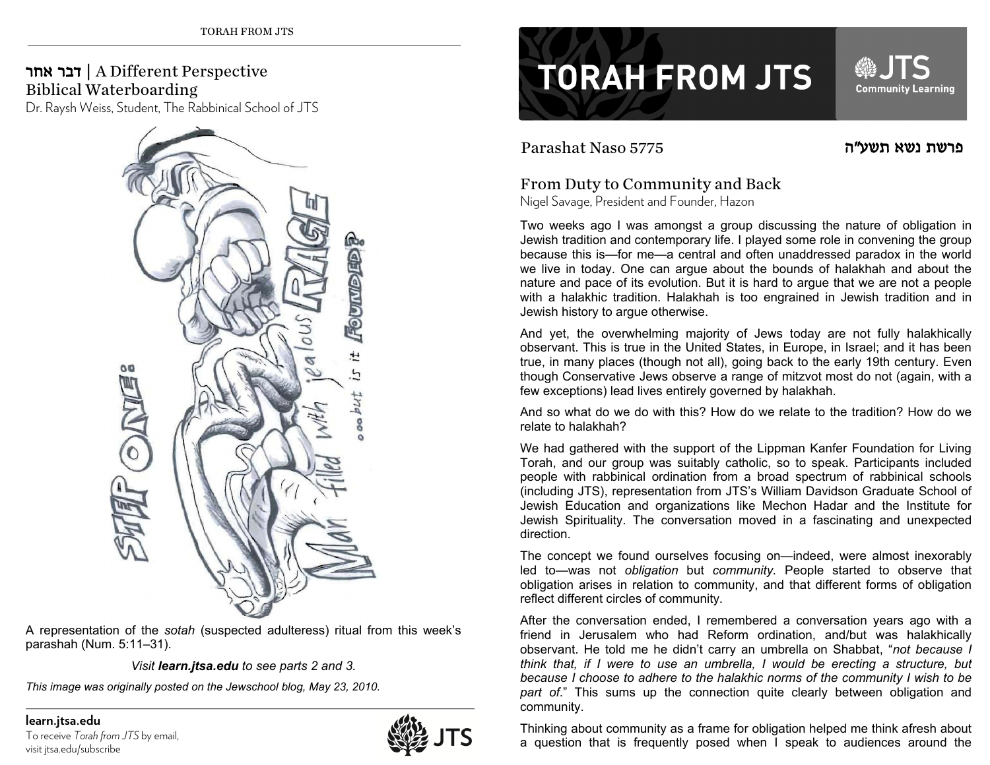## אחר דבר | A Different Perspective Biblical Waterboarding

Dr. Raysh Weiss, Student, The Rabbinical School of JTS



A representation of the *sotah* (suspected adulteress) ritual from this week's parashah (Num. 5:11–31).

*Visit learn.jtsa.edu to see parts 2 and 3.* 

*This image was originally posted on the Jewschool blog, May 23, 2010.* 

**learn.jtsa.edu**  To receive *Torah from JTS* by email, visit jtsa.edu/subscribe



## **TORAH FROM JTS**

Parashat Naso 5775

פרשת נשא

**JTS** 

**Community Learning** 

SIL

## From Duty to Community and Back

Nigel Savage, President and Founder, Hazon

Two weeks ago I was amongst a group discussing the nature of obligation in Jewish tradition and contemporary life. I played some role in convening the group because this is—for me—a central and often unaddressed paradox in the world we live in today. One can argue about the bounds of halakhah and about the nature and pace of its evolution. But it is hard to argue that we are not a people with a halakhic tradition. Halakhah is too engrained in Jewish tradition and in Jewish history to argue otherwise.

And yet, the overwhelming majority of Jews today are not fully halakhically observant. This is true in the United States, in Europe, in Israel; and it has been true, in many places (though not all), going back to the early 19th century. Even though Conservative Jews observe a range of mitzvot most do not (again, with a few exceptions) lead lives entirely governed by halakhah.

And so what do we do with this? How do we relate to the tradition? How do we relate to halakhah?

We had gathered with the support of the Lippman Kanfer Foundation for Living Torah, and our group was suitably catholic, so to speak. Participants included people with rabbinical ordination from a broad spectrum of rabbinical schools (including JTS), representation from JTS's William Davidson Graduate School of Jewish Education and organizations like Mechon Hadar and the Institute for Jewish Spirituality. The conversation moved in a fascinating and unexpected direction.

The concept we found ourselves focusing on—indeed, were almost inexorably led to—was not *obligation* but *community.* People started to observe that obligation arises in relation to community, and that different forms of obligation reflect different circles of community.

After the conversation ended, I remembered a conversation years ago with a friend in Jerusalem who had Reform ordination, and/but was halakhically observant. He told me he didn't carry an umbrella on Shabbat, "*not because I think that, if I were to use an umbrella, I would be erecting a structure, but because I choose to adhere to the halakhic norms of the community I wish to be part of*." This sums up the connection quite clearly between obligation and community.

Thinking about community as a frame for obligation helped me think afresh about a question that is frequently posed when I speak to audiences around the